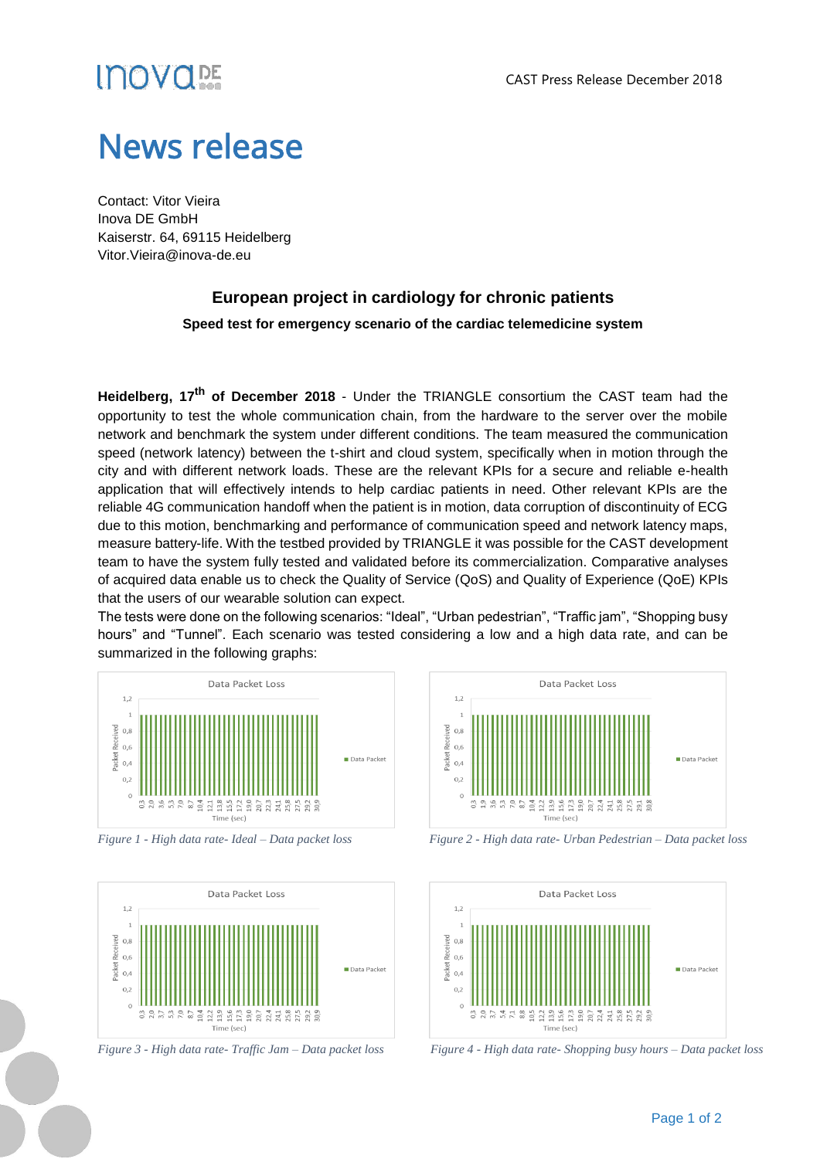# *INOVC*

## News release

Contact: Vitor Vieira Inova DE GmbH Kaiserstr. 64, 69115 Heidelberg Vitor.Vieira@inova-de.eu

### **European project in cardiology for chronic patients**

### **Speed test for emergency scenario of the cardiac telemedicine system**

**Heidelberg, 17 th of December 2018** - Under the TRIANGLE consortium the CAST team had the opportunity to test the whole communication chain, from the hardware to the server over the mobile network and benchmark the system under different conditions. The team measured the communication speed (network latency) between the t-shirt and cloud system, specifically when in motion through the city and with different network loads. These are the relevant KPIs for a secure and reliable e-health application that will effectively intends to help cardiac patients in need. Other relevant KPIs are the reliable 4G communication handoff when the patient is in motion, data corruption of discontinuity of ECG due to this motion, benchmarking and performance of communication speed and network latency maps, measure battery-life. With the testbed provided by TRIANGLE it was possible for the CAST development team to have the system fully tested and validated before its commercialization. Comparative analyses of acquired data enable us to check the Quality of Service (QoS) and Quality of Experience (QoE) KPIs that the users of our wearable solution can expect.

The tests were done on the following scenarios: "Ideal", "Urban pedestrian", "Traffic jam", "Shopping busy hours" and "Tunnel". Each scenario was tested considering a low and a high data rate, and can be summarized in the following graphs:







*Figure 1 - High data rate- Ideal – Data packet loss Figure 2 - High data rate- Urban Pedestrian – Data packet loss*



*Figure 3 - High data rate- Traffic Jam – Data packet loss Figure 4 - High data rate- Shopping busy hours – Data packet loss*